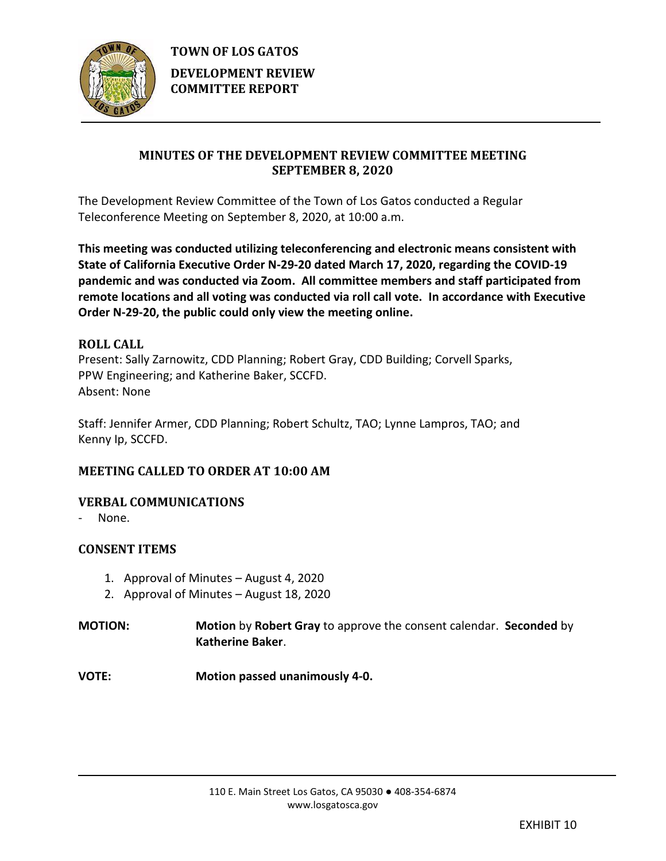

# **MINUTES OF THE DEVELOPMENT REVIEW COMMITTEE MEETING SEPTEMBER 8, 2020**

The Development Review Committee of the Town of Los Gatos conducted a Regular Teleconference Meeting on September 8, 2020, at 10:00 a.m.

**This meeting was conducted utilizing teleconferencing and electronic means consistent with State of California Executive Order N-29-20 dated March 17, 2020, regarding the COVID-19 pandemic and was conducted via Zoom. All committee members and staff participated from remote locations and all voting was conducted via roll call vote. In accordance with Executive Order N-29-20, the public could only view the meeting online.**

## **ROLL CALL**

Present: Sally Zarnowitz, CDD Planning; Robert Gray, CDD Building; Corvell Sparks, PPW Engineering; and Katherine Baker, SCCFD. Absent: None

Staff: Jennifer Armer, CDD Planning; Robert Schultz, TAO; Lynne Lampros, TAO; and Kenny Ip, SCCFD.

# **MEETING CALLED TO ORDER AT 10:00 AM**

## **VERBAL COMMUNICATIONS**

None.

## **CONSENT ITEMS**

- 1. Approval of Minutes August 4, 2020
- 2. Approval of Minutes August 18, 2020

**MOTION: Motion** by **Robert Gray** to approve the consent calendar. **Seconded** by **Katherine Baker**.

**VOTE: Motion passed unanimously 4-0.**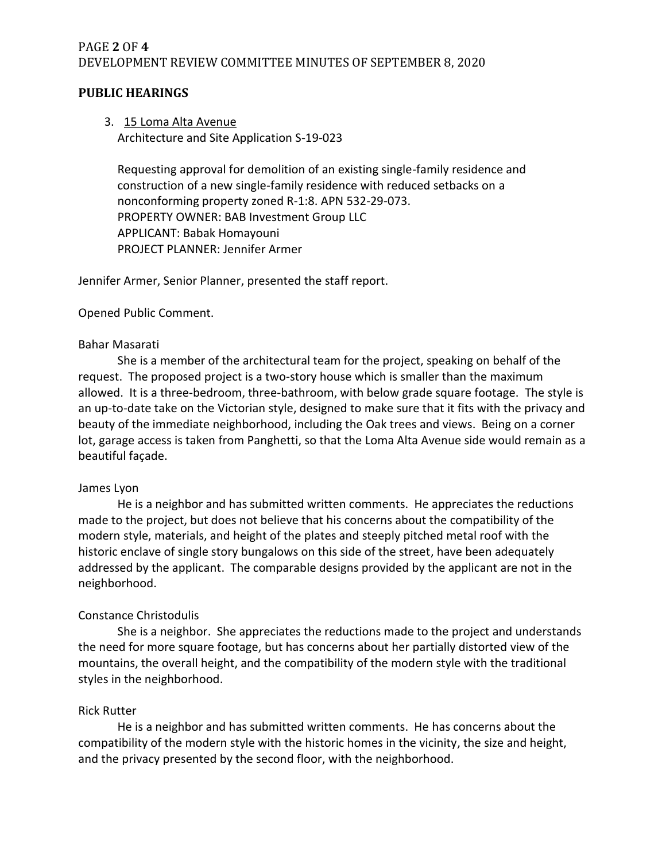## PAGE **2** OF **4** DEVELOPMENT REVIEW COMMITTEE MINUTES OF SEPTEMBER 8, 2020

## **PUBLIC HEARINGS**

## 3. 15 Loma Alta Avenue

Architecture and Site Application S-19-023

Requesting approval for demolition of an existing single-family residence and construction of a new single-family residence with reduced setbacks on a nonconforming property zoned R-1:8. APN 532-29-073. PROPERTY OWNER: BAB Investment Group LLC APPLICANT: Babak Homayouni PROJECT PLANNER: Jennifer Armer

Jennifer Armer, Senior Planner, presented the staff report.

### Opened Public Comment.

#### Bahar Masarati

She is a member of the architectural team for the project, speaking on behalf of the request. The proposed project is a two-story house which is smaller than the maximum allowed. It is a three-bedroom, three-bathroom, with below grade square footage. The style is an up-to-date take on the Victorian style, designed to make sure that it fits with the privacy and beauty of the immediate neighborhood, including the Oak trees and views. Being on a corner lot, garage access is taken from Panghetti, so that the Loma Alta Avenue side would remain as a beautiful façade.

#### James Lyon

He is a neighbor and has submitted written comments. He appreciates the reductions made to the project, but does not believe that his concerns about the compatibility of the modern style, materials, and height of the plates and steeply pitched metal roof with the historic enclave of single story bungalows on this side of the street, have been adequately addressed by the applicant. The comparable designs provided by the applicant are not in the neighborhood.

### Constance Christodulis

She is a neighbor. She appreciates the reductions made to the project and understands the need for more square footage, but has concerns about her partially distorted view of the mountains, the overall height, and the compatibility of the modern style with the traditional styles in the neighborhood.

### Rick Rutter

He is a neighbor and has submitted written comments. He has concerns about the compatibility of the modern style with the historic homes in the vicinity, the size and height, and the privacy presented by the second floor, with the neighborhood.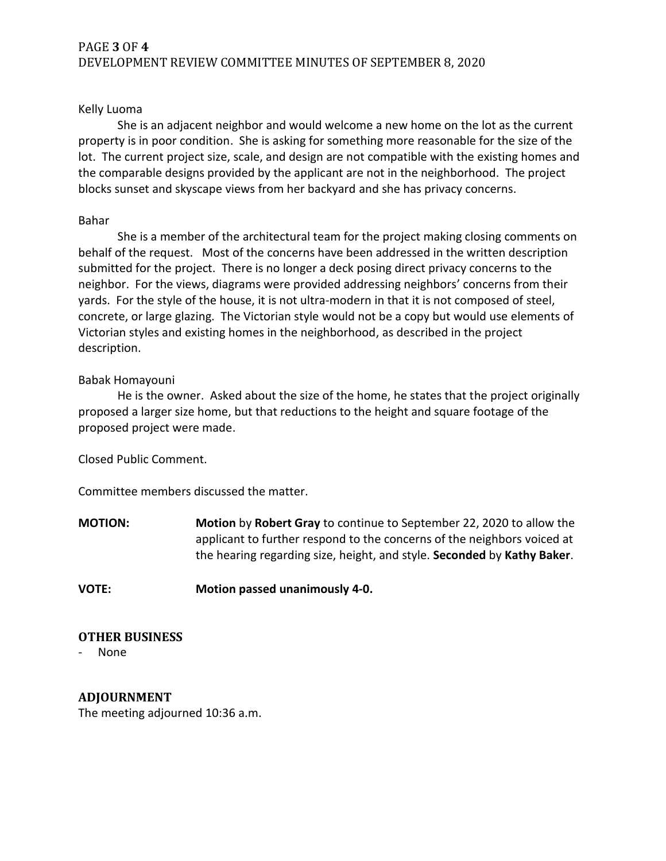## PAGE **3** OF **4** DEVELOPMENT REVIEW COMMITTEE MINUTES OF SEPTEMBER 8, 2020

### Kelly Luoma

She is an adjacent neighbor and would welcome a new home on the lot as the current property is in poor condition. She is asking for something more reasonable for the size of the lot. The current project size, scale, and design are not compatible with the existing homes and the comparable designs provided by the applicant are not in the neighborhood. The project blocks sunset and skyscape views from her backyard and she has privacy concerns.

#### Bahar

She is a member of the architectural team for the project making closing comments on behalf of the request. Most of the concerns have been addressed in the written description submitted for the project. There is no longer a deck posing direct privacy concerns to the neighbor. For the views, diagrams were provided addressing neighbors' concerns from their yards. For the style of the house, it is not ultra-modern in that it is not composed of steel, concrete, or large glazing. The Victorian style would not be a copy but would use elements of Victorian styles and existing homes in the neighborhood, as described in the project description.

#### Babak Homayouni

He is the owner. Asked about the size of the home, he states that the project originally proposed a larger size home, but that reductions to the height and square footage of the proposed project were made.

Closed Public Comment.

Committee members discussed the matter.

**MOTION: Motion** by **Robert Gray** to continue to September 22, 2020 to allow the applicant to further respond to the concerns of the neighbors voiced at the hearing regarding size, height, and style. **Seconded** by **Kathy Baker**.

**VOTE: Motion passed unanimously 4-0.**

### **OTHER BUSINESS**

None

**ADJOURNMENT** The meeting adjourned 10:36 a.m.